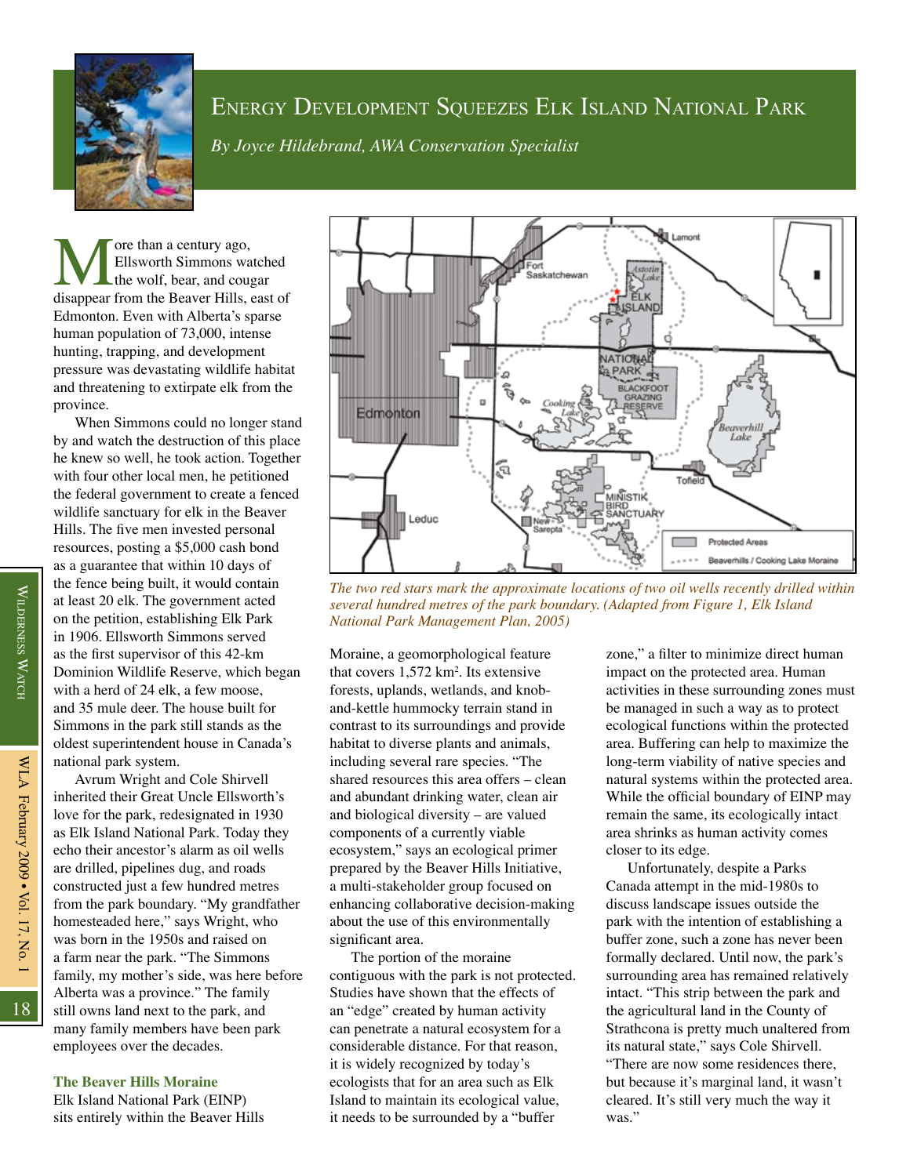

# ENERGY DEVELOPMENT SQUEEZES ELK ISLAND NATIONAL PARK

*By Joyce Hildebrand, AWA Conservation Specialist*

**M** ore than a century ago,<br>
the wolf, bear, and cougar<br>
disappear from the Beaver Hills, east of Ellsworth Simmons watched the wolf, bear, and cougar Edmonton. Even with Alberta's sparse human population of 73,000, intense hunting, trapping, and development pressure was devastating wildlife habitat and threatening to extirpate elk from the province.

When Simmons could no longer stand by and watch the destruction of this place he knew so well, he took action. Together with four other local men, he petitioned the federal government to create a fenced wildlife sanctuary for elk in the Beaver Hills. The five men invested personal resources, posting a \$5,000 cash bond as a guarantee that within 10 days of the fence being built, it would contain at least 20 elk. The government acted on the petition, establishing Elk Park in 1906. Ellsworth Simmons served as the first supervisor of this 42-km Dominion Wildlife Reserve, which began with a herd of 24 elk, a few moose, and 35 mule deer. The house built for Simmons in the park still stands as the oldest superintendent house in Canada's national park system.

Avrum Wright and Cole Shirvell inherited their Great Uncle Ellsworth's love for the park, redesignated in 1930 as Elk Island National Park. Today they echo their ancestor's alarm as oil wells are drilled, pipelines dug, and roads constructed just a few hundred metres from the park boundary. "My grandfather homesteaded here," says Wright, who was born in the 1950s and raised on a farm near the park. "The Simmons family, my mother's side, was here before Alberta was a province." The family still owns land next to the park, and many family members have been park employees over the decades.

## **The Beaver Hills Moraine**

Elk Island National Park (EINP) sits entirely within the Beaver Hills



*The two red stars mark the approximate locations of two oil wells recently drilled within several hundred metres of the park boundary. (Adapted from Figure 1, Elk Island National Park Management Plan, 2005)*

Moraine, a geomorphological feature that covers  $1,572 \text{ km}^2$ . Its extensive forests, uplands, wetlands, and knoband-kettle hummocky terrain stand in contrast to its surroundings and provide habitat to diverse plants and animals, including several rare species. "The shared resources this area offers – clean and abundant drinking water, clean air and biological diversity – are valued components of a currently viable ecosystem," says an ecological primer prepared by the Beaver Hills Initiative, a multi-stakeholder group focused on enhancing collaborative decision-making about the use of this environmentally significant area.

The portion of the moraine contiguous with the park is not protected. Studies have shown that the effects of an "edge" created by human activity can penetrate a natural ecosystem for a considerable distance. For that reason, it is widely recognized by today's ecologists that for an area such as Elk Island to maintain its ecological value, it needs to be surrounded by a "buffer

zone," a filter to minimize direct human impact on the protected area. Human activities in these surrounding zones must be managed in such a way as to protect ecological functions within the protected area. Buffering can help to maximize the long-term viability of native species and natural systems within the protected area. While the official boundary of EINP may remain the same, its ecologically intact area shrinks as human activity comes closer to its edge.

Unfortunately, despite a Parks Canada attempt in the mid-1980s to discuss landscape issues outside the park with the intention of establishing a buffer zone, such a zone has never been formally declared. Until now, the park's surrounding area has remained relatively intact. "This strip between the park and the agricultural land in the County of Strathcona is pretty much unaltered from its natural state," says Cole Shirvell. "There are now some residences there, but because it's marginal land, it wasn't cleared. It's still very much the way it was."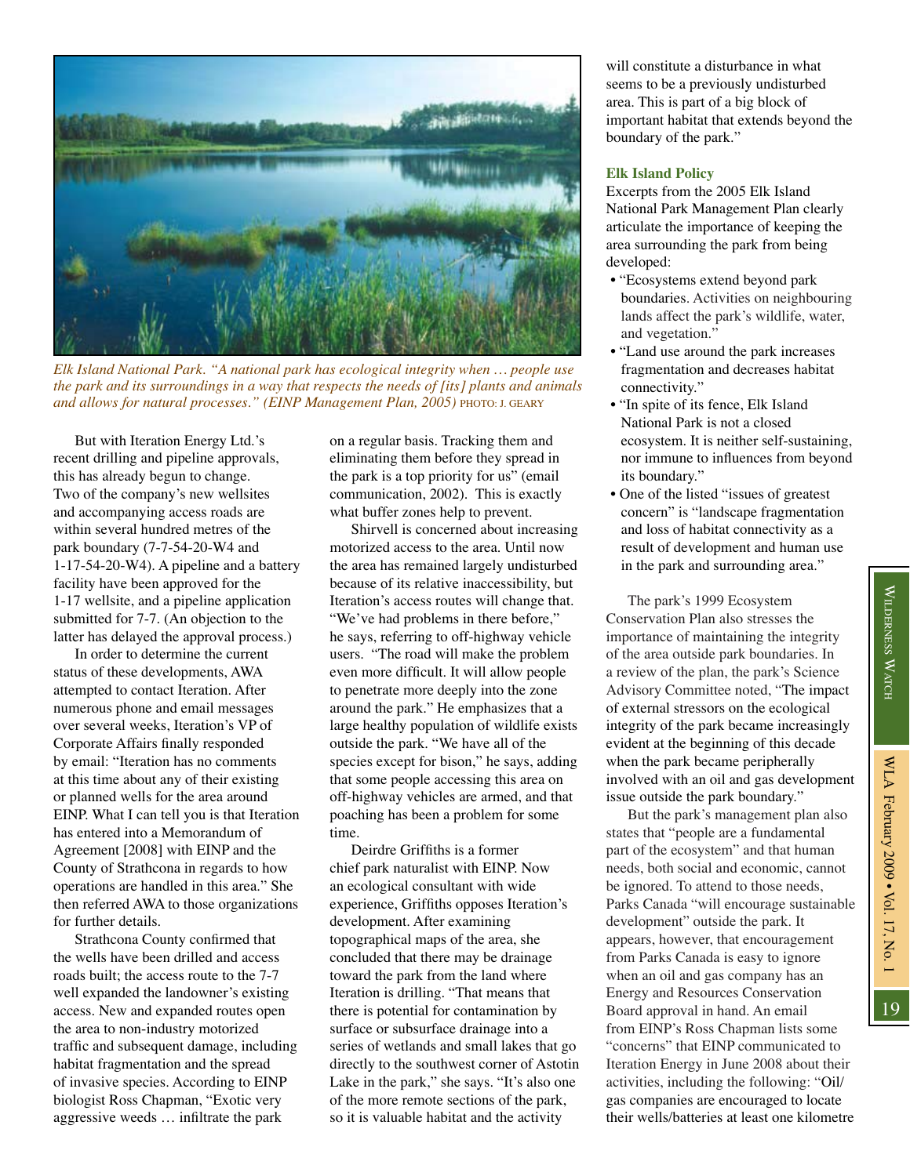

*Elk Island National Park. "A national park has ecological integrity when … people use the park and its surroundings in a way that respects the needs of [its] plants and animals*  and allows for natural processes." (EINP Management Plan, 2005) PHOTO: J. GEARY

But with Iteration Energy Ltd.'s recent drilling and pipeline approvals, this has already begun to change. Two of the company's new wellsites and accompanying access roads are within several hundred metres of the park boundary (7-7-54-20-W4 and 1-17-54-20-W4). A pipeline and a battery facility have been approved for the 1-17 wellsite, and a pipeline application submitted for 7-7. (An objection to the latter has delayed the approval process.)

In order to determine the current status of these developments, AWA attempted to contact Iteration. After numerous phone and email messages over several weeks, Iteration's VP of Corporate Affairs finally responded by email: "Iteration has no comments at this time about any of their existing or planned wells for the area around EINP. What I can tell you is that Iteration has entered into a Memorandum of Agreement [2008] with EINP and the County of Strathcona in regards to how operations are handled in this area." She then referred AWA to those organizations for further details.

Strathcona County confirmed that the wells have been drilled and access roads built; the access route to the 7-7 well expanded the landowner's existing access. New and expanded routes open the area to non-industry motorized traffic and subsequent damage, including habitat fragmentation and the spread of invasive species. According to EINP biologist Ross Chapman, "Exotic very aggressive weeds … infiltrate the park

on a regular basis. Tracking them and eliminating them before they spread in the park is a top priority for us" (email communication, 2002). This is exactly what buffer zones help to prevent.

Shirvell is concerned about increasing motorized access to the area. Until now the area has remained largely undisturbed because of its relative inaccessibility, but Iteration's access routes will change that. "We've had problems in there before," he says, referring to off-highway vehicle users. "The road will make the problem even more difficult. It will allow people to penetrate more deeply into the zone around the park." He emphasizes that a large healthy population of wildlife exists outside the park. "We have all of the species except for bison," he says, adding that some people accessing this area on off-highway vehicles are armed, and that poaching has been a problem for some time.

Deirdre Griffiths is a former chief park naturalist with EINP. Now an ecological consultant with wide experience, Griffiths opposes Iteration's development. After examining topographical maps of the area, she concluded that there may be drainage toward the park from the land where Iteration is drilling. "That means that there is potential for contamination by surface or subsurface drainage into a series of wetlands and small lakes that go directly to the southwest corner of Astotin Lake in the park," she says. "It's also one of the more remote sections of the park, so it is valuable habitat and the activity

will constitute a disturbance in what seems to be a previously undisturbed area. This is part of a big block of important habitat that extends beyond the boundary of the park."

### **Elk Island Policy**

Excerpts from the 2005 Elk Island National Park Management Plan clearly articulate the importance of keeping the area surrounding the park from being developed:

- "Ecosystems extend beyond park boundaries. Activities on neighbouring lands affect the park's wildlife, water, and vegetation."
- "Land use around the park increases fragmentation and decreases habitat connectivity."
- "In spite of its fence, Elk Island National Park is not a closed ecosystem. It is neither self-sustaining, nor immune to influences from beyond its boundary."
- One of the listed "issues of greatest concern" is "landscape fragmentation and loss of habitat connectivity as a result of development and human use in the park and surrounding area."

The park's 1999 Ecosystem Conservation Plan also stresses the importance of maintaining the integrity of the area outside park boundaries. In a review of the plan, the park's Science Advisory Committee noted, "The impact of external stressors on the ecological integrity of the park became increasingly evident at the beginning of this decade when the park became peripherally involved with an oil and gas development issue outside the park boundary."

But the park's management plan also states that "people are a fundamental part of the ecosystem" and that human needs, both social and economic, cannot be ignored. To attend to those needs, Parks Canada "will encourage sustainable development" outside the park. It appears, however, that encouragement from Parks Canada is easy to ignore when an oil and gas company has an Energy and Resources Conservation Board approval in hand. An email from EINP's Ross Chapman lists some "concerns" that EINP communicated to Iteration Energy in June 2008 about their activities, including the following: "Oil/ gas companies are encouraged to locate their wells/batteries at least one kilometre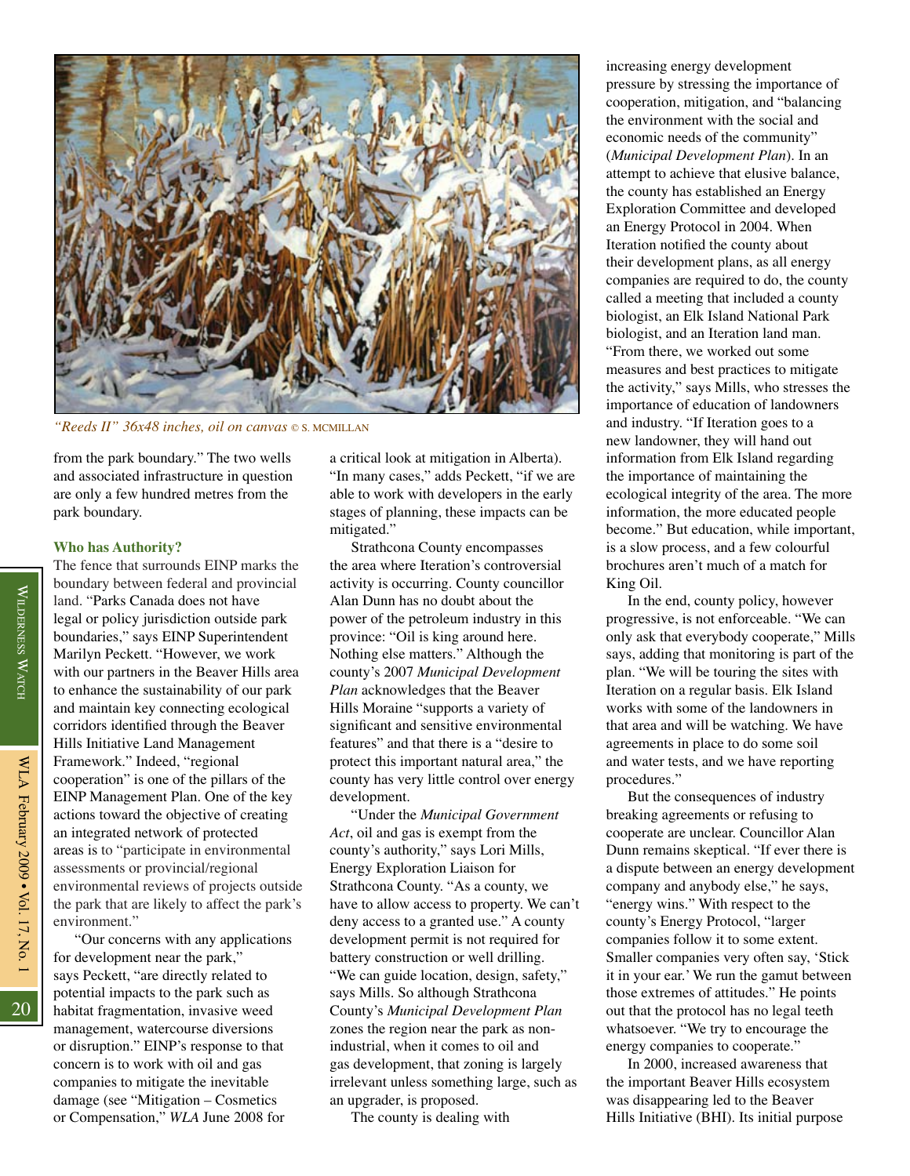

*"Reeds II" 36x48 inches, oil on canvas* © S. MCMILLAN

from the park boundary." The two wells and associated infrastructure in question are only a few hundred metres from the park boundary.

## **Who has Authority?**

The fence that surrounds EINP marks the boundary between federal and provincial land. "Parks Canada does not have legal or policy jurisdiction outside park boundaries," says EINP Superintendent Marilyn Peckett. "However, we work with our partners in the Beaver Hills area to enhance the sustainability of our park and maintain key connecting ecological corridors identified through the Beaver Hills Initiative Land Management Framework." Indeed, "regional cooperation" is one of the pillars of the EINP Management Plan. One of the key actions toward the objective of creating an integrated network of protected areas is to "participate in environmental assessments or provincial/regional environmental reviews of projects outside the park that are likely to affect the park's environment."

"Our concerns with any applications for development near the park," says Peckett, "are directly related to potential impacts to the park such as habitat fragmentation, invasive weed management, watercourse diversions or disruption." EINP's response to that concern is to work with oil and gas companies to mitigate the inevitable damage (see "Mitigation – Cosmetics or Compensation," *WLA* June 2008 for

a critical look at mitigation in Alberta). "In many cases," adds Peckett, "if we are able to work with developers in the early stages of planning, these impacts can be mitigated."

Strathcona County encompasses the area where Iteration's controversial activity is occurring. County councillor Alan Dunn has no doubt about the power of the petroleum industry in this province: "Oil is king around here. Nothing else matters." Although the county's 2007 *Municipal Development Plan* acknowledges that the Beaver Hills Moraine "supports a variety of significant and sensitive environmental features" and that there is a "desire to protect this important natural area," the county has very little control over energy development.

"Under the *Municipal Government Act*, oil and gas is exempt from the county's authority," says Lori Mills, Energy Exploration Liaison for Strathcona County. "As a county, we have to allow access to property. We can't deny access to a granted use." A county development permit is not required for battery construction or well drilling. "We can guide location, design, safety," says Mills. So although Strathcona County's *Municipal Development Plan* zones the region near the park as nonindustrial, when it comes to oil and gas development, that zoning is largely irrelevant unless something large, such as an upgrader, is proposed.

The county is dealing with

increasing energy development pressure by stressing the importance of cooperation, mitigation, and "balancing the environment with the social and economic needs of the community" (*Municipal Development Plan*). In an attempt to achieve that elusive balance, the county has established an Energy Exploration Committee and developed an Energy Protocol in 2004. When Iteration notified the county about their development plans, as all energy companies are required to do, the county called a meeting that included a county biologist, an Elk Island National Park biologist, and an Iteration land man. "From there, we worked out some measures and best practices to mitigate the activity," says Mills, who stresses the importance of education of landowners and industry. "If Iteration goes to a new landowner, they will hand out information from Elk Island regarding the importance of maintaining the ecological integrity of the area. The more information, the more educated people become." But education, while important, is a slow process, and a few colourful brochures aren't much of a match for King Oil.

In the end, county policy, however progressive, is not enforceable. "We can only ask that everybody cooperate," Mills says, adding that monitoring is part of the plan. "We will be touring the sites with Iteration on a regular basis. Elk Island works with some of the landowners in that area and will be watching. We have agreements in place to do some soil and water tests, and we have reporting procedures."

But the consequences of industry breaking agreements or refusing to cooperate are unclear. Councillor Alan Dunn remains skeptical. "If ever there is a dispute between an energy development company and anybody else," he says, "energy wins." With respect to the county's Energy Protocol, "larger companies follow it to some extent. Smaller companies very often say, 'Stick it in your ear.' We run the gamut between those extremes of attitudes." He points out that the protocol has no legal teeth whatsoever. "We try to encourage the energy companies to cooperate."

In 2000, increased awareness that the important Beaver Hills ecosystem was disappearing led to the Beaver Hills Initiative (BHI). Its initial purpose